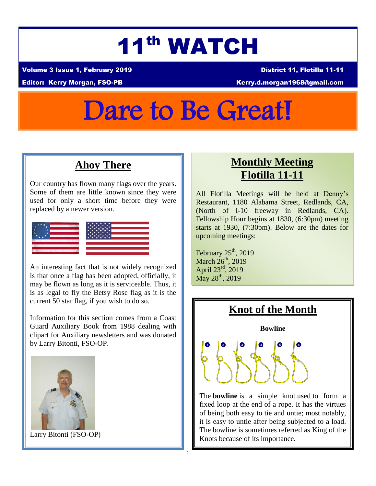# 11th WATCH

Volume 3 Issue 1, February 2019 District 11, Flotilla 11-11

Editor: Kerry Morgan, FSO-PB Kerry.d.morgan1968@gmail.com

# Dare to Be Great!

## **Ahoy There**

Our country has flown many flags over the years. Some of them are little known since they were used for only a short time before they were replaced by a newer version.



An interesting fact that is not widely recognized is that once a flag has been adopted, officially, it may be flown as long as it is serviceable. Thus, it is as legal to fly the Betsy Rose flag as it is the current 50 star flag, if you wish to do so.

Information for this section comes from a Coast Guard Auxiliary Book from 1988 dealing with clipart for Auxiliary newsletters and was donated by Larry Bitonti, FSO-OP.



Larry Bitonti (FSO-OP)

## **Monthly Meeting Flotilla 11-11**

All Flotilla Meetings will be held at Denny's Restaurant, 1180 Alabama Street, Redlands, CA, (North of I-10 freeway in Redlands, CA). Fellowship Hour begins at 1830, (6:30pm) meeting starts at 1930, (7:30pm). Below are the dates for upcoming meetings:

February  $25<sup>th</sup>$ , 2019 March  $26<sup>th</sup>$ , 2019 April 23rd, 2019  $May 28<sup>th</sup>, 2019$ 



The **bowline** is a simple knot used to form a fixed loop at the end of a rope. It has the virtues of being both easy to tie and untie; most notably, it is easy to untie after being subjected to a load. The bowline is sometimes referred as King of the Knots because of its importance.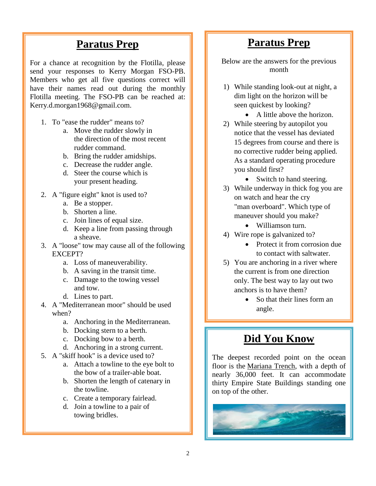### **Paratus Prep**

For a chance at recognition by the Flotilla, please send your responses to Kerry Morgan FSO-PB. Members who get all five questions correct will have their names read out during the monthly Flotilla meeting. The FSO-PB can be reached at: Kerry.d.morgan1968@gmail.com.

- 1. To "ease the rudder" means to?
	- a. Move the rudder slowly in the direction of the most recent rudder command.
	- b. Bring the rudder amidships.
	- c. Decrease the rudder angle.
	- d. Steer the course which is your present heading.
- 2. A "figure eight" knot is used to?
	- a. Be a stopper.
	- b. Shorten a line.
	- c. Join lines of equal size.
	- d. Keep a line from passing through a sheave.
- 3. A "loose" tow may cause all of the following EXCEPT?
	- a. Loss of maneuverability.
	- b. A saving in the transit time.
	- c. Damage to the towing vessel and tow.
	- d. Lines to part.
- 4. A "Mediterranean moor" should be used when?
	- a. Anchoring in the Mediterranean.
	- b. Docking stern to a berth.
	- c. Docking bow to a berth.
	- d. Anchoring in a strong current.
- 5. A "skiff hook" is a device used to?
	- a. Attach a towline to the eye bolt to the bow of a trailer-able boat.
	- b. Shorten the length of catenary in the towline.
	- c. Create a temporary fairlead.
	- d. Join a towline to a pair of towing bridles.

### **Paratus Prep**

Below are the answers for the previous month

- 1) While standing look-out at night, a dim light on the horizon will be seen quickest by looking?
	- A little above the horizon.
- 2) While steering by autopilot you notice that the vessel has deviated 15 degrees from course and there is no corrective rudder being applied. As a standard operating procedure you should first?
	- Switch to hand steering.
- 3) While underway in thick fog you are on watch and hear the cry "man overboard". Which type of maneuver should you make?
	- Williamson turn.
- 4) Wire rope is galvanized to?
	- Protect it from corrosion due to contact with saltwater.
- 5) You are anchoring in a river where the current is from one direction only. The best way to lay out two anchors is to have them?
	- So that their lines form an angle.

## **Did You Know**

The deepest recorded point on the ocean floor is the [Mariana Trench,](http://www.livescience.com/23387-mariana-trench.html) with a depth of nearly 36,000 feet. It can accommodate thirty Empire State Buildings standing one on top of the other.

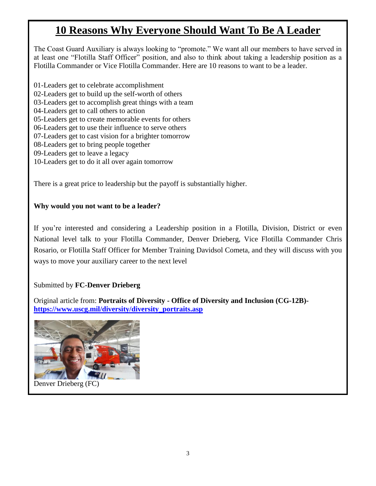## **10 Reasons Why Everyone Should Want To Be A Leader**

The Coast Guard Auxiliary is always looking to "promote." We want all our members to have served in at least one "Flotilla Staff Officer" position, and also to think about taking a leadership position as a Flotilla Commander or Vice Flotilla Commander. Here are 10 reasons to want to be a leader.

- 01-Leaders get to celebrate accomplishment
- 02-Leaders get to build up the self-worth of others
- 03-Leaders get to accomplish great things with a team
- 04-Leaders get to call others to action
- 05-Leaders get to create memorable events for others
- 06-Leaders get to use their influence to serve others
- 07-Leaders get to cast vision for a brighter tomorrow
- 08-Leaders get to bring people together
- 09-Leaders get to leave a legacy
- 10-Leaders get to do it all over again tomorrow

There is a great price to leadership but the payoff is substantially higher.

#### **Why would you not want to be a leader?**

If you're interested and considering a Leadership position in a Flotilla, Division, District or even National level talk to your Flotilla Commander, Denver Drieberg, Vice Flotilla Commander Chris Rosario, or Flotilla Staff Officer for Member Training Davidsol Cometa, and they will discuss with you ways to move your auxiliary career to the next level

#### Submitted by **FC-Denver Drieberg**

Original article from: **Portraits of Diversity - Office of Diversity and Inclusion (CG-12B) [https://www.uscg.mil/diversity/diversity\\_portraits.asp](https://www.uscg.mil/diversity/diversity_portraits.asp)**



Denver Drieberg (FC)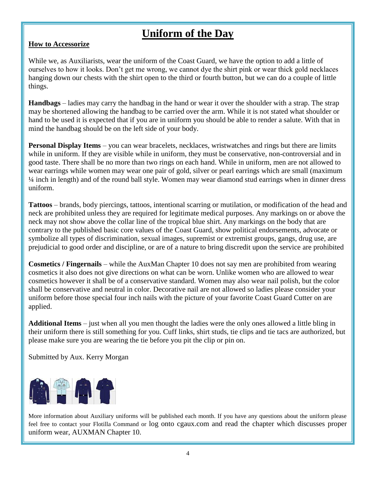## **Uniform of the Day**

#### **How to Accessorize**

While we, as Auxiliarists, wear the uniform of the Coast Guard, we have the option to add a little of ourselves to how it looks. Don't get me wrong, we cannot dye the shirt pink or wear thick gold necklaces hanging down our chests with the shirt open to the third or fourth button, but we can do a couple of little things.

**Handbags** – ladies may carry the handbag in the hand or wear it over the shoulder with a strap. The strap may be shortened allowing the handbag to be carried over the arm. While it is not stated what shoulder or hand to be used it is expected that if you are in uniform you should be able to render a salute. With that in mind the handbag should be on the left side of your body.

**Personal Display Items** – you can wear bracelets, necklaces, wristwatches and rings but there are limits while in uniform. If they are visible while in uniform, they must be conservative, non-controversial and in good taste. There shall be no more than two rings on each hand. While in uniform, men are not allowed to wear earrings while women may wear one pair of gold, silver or pearl earrings which are small (maximum ¼ inch in length) and of the round ball style. Women may wear diamond stud earrings when in dinner dress uniform.

**Tattoos** – brands, body piercings, tattoos, intentional scarring or mutilation, or modification of the head and neck are prohibited unless they are required for legitimate medical purposes. Any markings on or above the neck may not show above the collar line of the tropical blue shirt. Any markings on the body that are contrary to the published basic core values of the Coast Guard, show political endorsements, advocate or symbolize all types of discrimination, sexual images, supremist or extremist groups, gangs, drug use, are prejudicial to good order and discipline, or are of a nature to bring discredit upon the service are prohibited

**Cosmetics / Fingernails** – while the AuxMan Chapter 10 does not say men are prohibited from wearing cosmetics it also does not give directions on what can be worn. Unlike women who are allowed to wear cosmetics however it shall be of a conservative standard. Women may also wear nail polish, but the color shall be conservative and neutral in color. Decorative nail are not allowed so ladies please consider your uniform before those special four inch nails with the picture of your favorite Coast Guard Cutter on are applied.

**Additional Items** – just when all you men thought the ladies were the only ones allowed a little bling in their uniform there is still something for you. Cuff links, shirt studs, tie clips and tie tacs are authorized, but please make sure you are wearing the tie before you pit the clip or pin on.

Submitted by Aux. Kerry Morgan



More information about Auxiliary uniforms will be published each month. If you have any questions about the uniform please feel free to contact your Flotilla Command or log onto cgaux.com and read the chapter which discusses proper uniform wear, AUXMAN Chapter 10.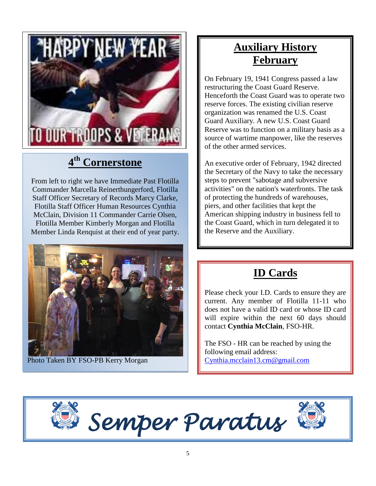

# **4 th Cornerstone**

From left to right we have Immediate Past Flotilla Commander Marcella Reinerthungerford, Flotilla Staff Officer Secretary of Records Marcy Clarke, Flotilla Staff Officer Human Resources Cynthia McClain, Division 11 Commander Carrie Olsen, Flotilla Member Kimberly Morgan and Flotilla Member Linda Renquist at their end of year party.



Photo Taken BY FSO-PB Kerry Morgan

## **Auxiliary History February**

On February 19, 1941 Congress passed a law restructuring the Coast Guard Reserve. Henceforth the Coast Guard was to operate two reserve forces. The existing civilian reserve organization was renamed the U.S. Coast Guard Auxiliary. A new U.S. Coast Guard Reserve was to function on a military basis as a source of wartime manpower, like the reserves of the other armed services.

An executive order of February, 1942 directed the Secretary of the Navy to take the necessary steps to prevent "sabotage and subversive activities" on the nation's waterfronts. The task of protecting the hundreds of warehouses, piers, and other facilities that kept the American shipping industry in business fell to the Coast Guard, which in turn delegated it to the Reserve and the Auxiliary.

# **ID Cards**

Please check your I.D. Cards to ensure they are current. Any member of Flotilla 11-11 who does not have a valid ID card or whose ID card will expire within the next 60 days should contact **Cynthia McClain**, FSO-HR.

The FSO - HR can be reached by using the following email address: [Cynthia.mcclain13.cm@gmail.com](mailto:Cynthia.mcclain13.cm@gmail.com)



 *Semper Paratus*